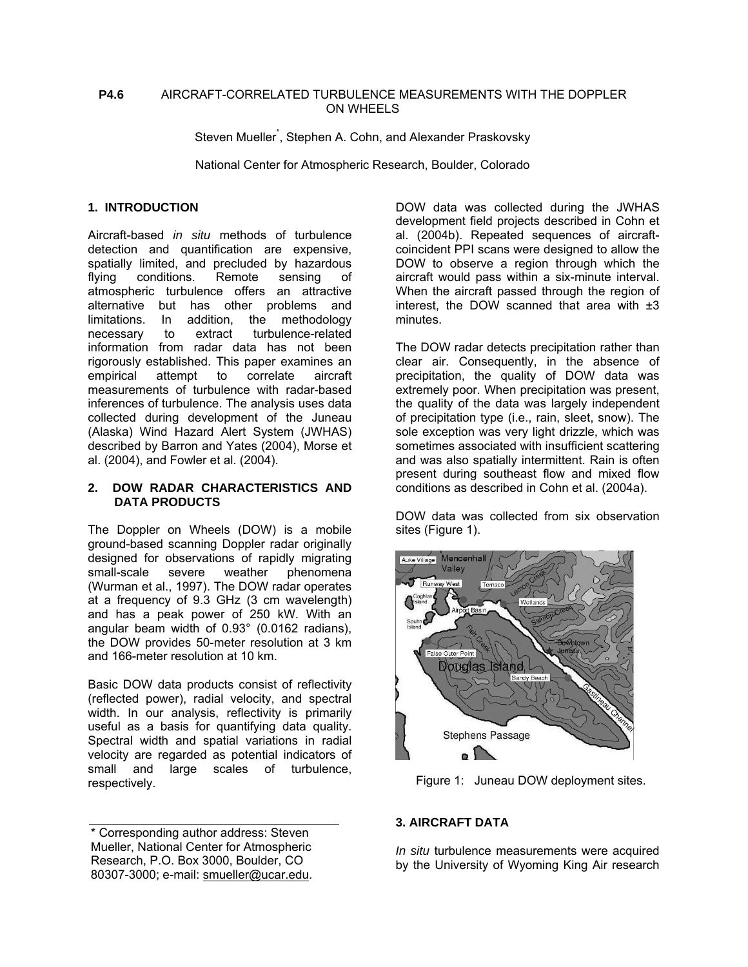#### **P4.6** AIRCRAFT-CORRELATED TURBULENCE MEASUREMENTS WITH THE DOPPLER ON WHEELS

Steven Mueller<sup>\*</sup>, Stephen A. Cohn, and Alexander Praskovsky

National Center for Atmospheric Research, Boulder, Colorado

### **1. INTRODUCTION**

Aircraft-based *in situ* methods of turbulence detection and quantification are expensive, spatially limited, and precluded by hazardous flying conditions. Remote sensing of atmospheric turbulence offers an attractive alternative but has other problems and limitations. In addition, the methodology necessary to extract turbulence-related information from radar data has not been rigorously established. This paper examines an empirical attempt to correlate aircraft measurements of turbulence with radar-based inferences of turbulence. The analysis uses data collected during development of the Juneau (Alaska) Wind Hazard Alert System (JWHAS) described by Barron and Yates (2004), Morse et al. (2004), and Fowler et al. (2004).

#### **2. DOW RADAR CHARACTERISTICS AND DATA PRODUCTS**

The Doppler on Wheels (DOW) is a mobile ground-based scanning Doppler radar originally designed for observations of rapidly migrating small-scale severe weather phenomena (Wurman et al., 1997). The DOW radar operates at a frequency of 9.3 GHz (3 cm wavelength) and has a peak power of 250 kW. With an angular beam width of 0.93° (0.0162 radians), the DOW provides 50-meter resolution at 3 km and 166-meter resolution at 10 km.

Basic DOW data products consist of reflectivity (reflected power), radial velocity, and spectral width. In our analysis, reflectivity is primarily useful as a basis for quantifying data quality. Spectral width and spatial variations in radial velocity are regarded as potential indicators of small and large scales of turbulence, respectively.

\* Corresponding author address: Steven Mueller, National Center for Atmospheric Research, P.O. Box 3000, Boulder, CO 80307-3000; e-mail: smueller@ucar.edu. DOW data was collected during the JWHAS development field projects described in Cohn et al. (2004b). Repeated sequences of aircraftcoincident PPI scans were designed to allow the DOW to observe a region through which the aircraft would pass within a six-minute interval. When the aircraft passed through the region of interest, the DOW scanned that area with  $\pm 3$ minutes.

The DOW radar detects precipitation rather than clear air. Consequently, in the absence of precipitation, the quality of DOW data was extremely poor. When precipitation was present, the quality of the data was largely independent of precipitation type (i.e., rain, sleet, snow). The sole exception was very light drizzle, which was sometimes associated with insufficient scattering and was also spatially intermittent. Rain is often present during southeast flow and mixed flow conditions as described in Cohn et al. (2004a).

DOW data was collected from six observation sites (Figure 1).



Figure 1: Juneau DOW deployment sites.

# **3. AIRCRAFT DATA**

*In situ* turbulence measurements were acquired by the University of Wyoming King Air research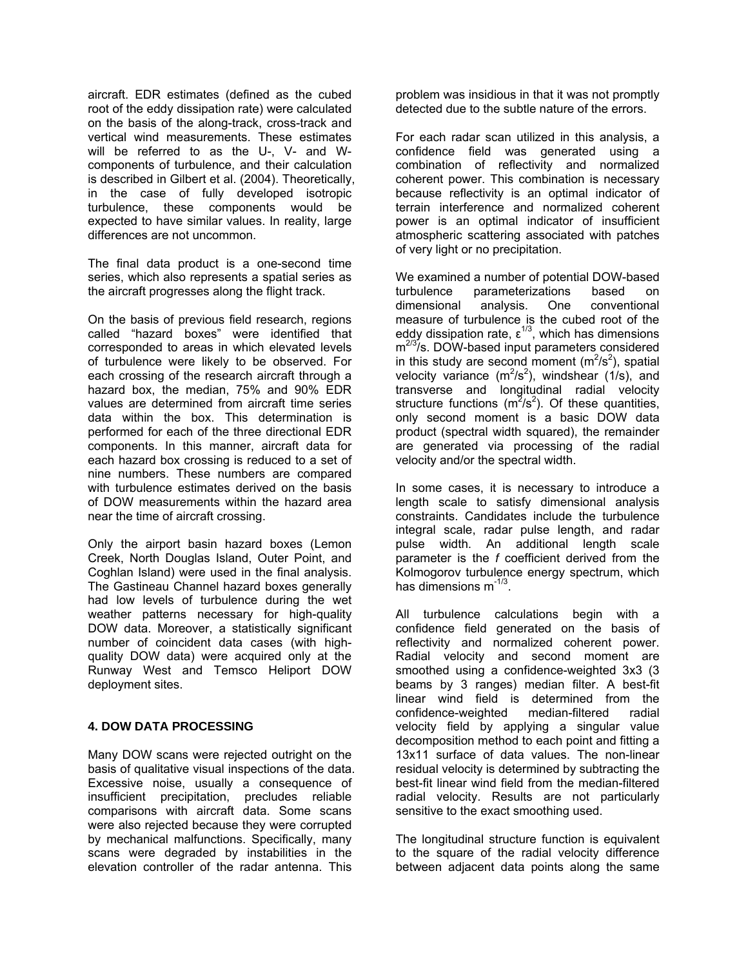aircraft. EDR estimates (defined as the cubed root of the eddy dissipation rate) were calculated on the basis of the along-track, cross-track and vertical wind measurements. These estimates will be referred to as the U-, V- and Wcomponents of turbulence, and their calculation is described in Gilbert et al. (2004). Theoretically, in the case of fully developed isotropic turbulence, these components would be expected to have similar values. In reality, large differences are not uncommon.

The final data product is a one-second time series, which also represents a spatial series as the aircraft progresses along the flight track.

On the basis of previous field research, regions called "hazard boxes" were identified that corresponded to areas in which elevated levels of turbulence were likely to be observed. For each crossing of the research aircraft through a hazard box, the median, 75% and 90% EDR values are determined from aircraft time series data within the box. This determination is performed for each of the three directional EDR components. In this manner, aircraft data for each hazard box crossing is reduced to a set of nine numbers. These numbers are compared with turbulence estimates derived on the basis of DOW measurements within the hazard area near the time of aircraft crossing.

Only the airport basin hazard boxes (Lemon Creek, North Douglas Island, Outer Point, and Coghlan Island) were used in the final analysis. The Gastineau Channel hazard boxes generally had low levels of turbulence during the wet weather patterns necessary for high-quality DOW data. Moreover, a statistically significant number of coincident data cases (with highquality DOW data) were acquired only at the Runway West and Temsco Heliport DOW deployment sites.

#### **4. DOW DATA PROCESSING**

Many DOW scans were rejected outright on the basis of qualitative visual inspections of the data. Excessive noise, usually a consequence of insufficient precipitation, precludes reliable comparisons with aircraft data. Some scans were also rejected because they were corrupted by mechanical malfunctions. Specifically, many scans were degraded by instabilities in the elevation controller of the radar antenna. This

problem was insidious in that it was not promptly detected due to the subtle nature of the errors.

For each radar scan utilized in this analysis, a confidence field was generated using a combination of reflectivity and normalized coherent power. This combination is necessary because reflectivity is an optimal indicator of terrain interference and normalized coherent power is an optimal indicator of insufficient atmospheric scattering associated with patches of very light or no precipitation.

We examined a number of potential DOW-based turbulence parameterizations based on dimensional analysis. One conventional measure of turbulence is the cubed root of the eddy dissipation rate,  $\varepsilon^{1/3}$ , which has dimensions m<sup>2/3</sup>/s. DOW-based input parameters considered in this study are second moment  $(m^2/s^2)$ , spatial velocity variance  $(m^2/s^2)$ , windshear (1/s), and transverse and longitudinal radial velocity structure functions  $(m^2/s^2)$ . Of these quantities, only second moment is a basic DOW data product (spectral width squared), the remainder are generated via processing of the radial velocity and/or the spectral width.

In some cases, it is necessary to introduce a length scale to satisfy dimensional analysis constraints. Candidates include the turbulence integral scale, radar pulse length, and radar pulse width. An additional length scale parameter is the *f* coefficient derived from the Kolmogorov turbulence energy spectrum, which has dimensions m<sup>-1/3</sup>.

All turbulence calculations begin with a confidence field generated on the basis of reflectivity and normalized coherent power. Radial velocity and second moment are smoothed using a confidence-weighted 3x3 (3 beams by 3 ranges) median filter. A best-fit linear wind field is determined from the confidence-weighted median-filtered radial velocity field by applying a singular value decomposition method to each point and fitting a 13x11 surface of data values. The non-linear residual velocity is determined by subtracting the best-fit linear wind field from the median-filtered radial velocity. Results are not particularly sensitive to the exact smoothing used.

The longitudinal structure function is equivalent to the square of the radial velocity difference between adjacent data points along the same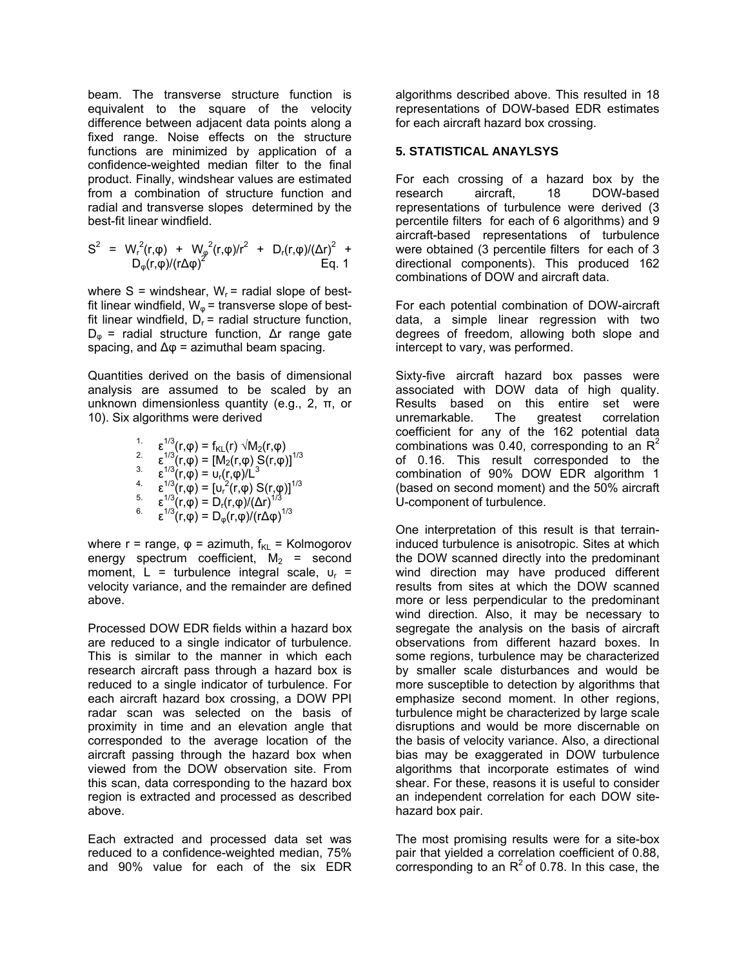beam. The transverse structure function is equivalent to the square of the velocity difference between adjacent data points along a fixed range. Noise effects on the structure functions are minimized by application of a confidence-weighted median filter to the final product. Finally, windshear values are estimated from a combination of structure function and radial and transverse slopes determined by the best-fit linear windfield.

$$
S^{2} = W_{r}^{2}(r,\varphi) + W_{\varphi}^{2}(r,\varphi)/r^{2} + D_{r}(r,\varphi)/(\Delta r)^{2} + D_{\varphi}(r,\varphi)/(\Gamma\Delta\varphi)^{2}
$$
 Eq. 1

where  $S =$  windshear,  $W_r =$  radial slope of bestfit linear windfield,  $W_{\omega}$  = transverse slope of bestfit linear windfield,  $D_r$  = radial structure function, D<sup>φ</sup> = radial structure function, ∆r range gate spacing, and  $\Delta \varphi$  = azimuthal beam spacing.

Quantities derived on the basis of dimensional analysis are assumed to be scaled by an unknown dimensionless quantity (e.g., 2, π, or 10). Six algorithms were derived

1. 
$$
\epsilon^{1/3}(r,\varphi) = f_{KL}(r) \sqrt{M_2(r,\varphi)}
$$
  
\n2. 
$$
\epsilon^{1/3}(r,\varphi) = [M_2(r,\varphi) S(r,\varphi)]^{1/3}
$$
  
\n3. 
$$
\epsilon^{1/3}(r,\varphi) = U_r(r,\varphi)/L^3
$$
  
\n4. 
$$
\epsilon^{1/3}(r,\varphi) = [U_r^2(r,\varphi) S(r,\varphi)]^{1/3}
$$
  
\n5. 
$$
\epsilon^{1/3}(r,\varphi) = D_r(r,\varphi)/(\Delta r)^{1/3}
$$
  
\n6. 
$$
\epsilon^{1/3}(r,\varphi) = D_{\varphi}(r,\varphi)/(\Gamma \Delta \varphi)^{1/3}
$$

where  $r = range$ ,  $\varphi = azimuth$ ,  $f_{KL} = Kolmogorov$ energy spectrum coefficient,  $M_2$  = second moment,  $L =$  turbulence integral scale,  $u_r =$ velocity variance, and the remainder are defined above.

Processed DOW EDR fields within a hazard box are reduced to a single indicator of turbulence. This is similar to the manner in which each research aircraft pass through a hazard box is reduced to a single indicator of turbulence. For each aircraft hazard box crossing, a DOW PPI radar scan was selected on the basis of proximity in time and an elevation angle that corresponded to the average location of the aircraft passing through the hazard box when viewed from the DOW observation site. From this scan, data corresponding to the hazard box region is extracted and processed as described above.

Each extracted and processed data set was reduced to a confidence-weighted median, 75% and 90% value for each of the six EDR

algorithms described above. This resulted in 18 representations of DOW-based EDR estimates for each aircraft hazard box crossing.

#### **5. STATISTICAL ANAYLSYS**

For each crossing of a hazard box by the research aircraft, 18 DOW-based representations of turbulence were derived (3 percentile filters for each of 6 algorithms) and 9 aircraft-based representations of turbulence were obtained (3 percentile filters for each of 3 directional components). This produced 162 combinations of DOW and aircraft data.

For each potential combination of DOW-aircraft data, a simple linear regression with two degrees of freedom, allowing both slope and intercept to vary, was performed.

Sixty-five aircraft hazard box passes were associated with DOW data of high quality. Results based on this entire set were unremarkable. The greatest correlation coefficient for any of the 162 potential data combinations was 0.40, corresponding to an  $\mathbb{R}^2$ of 0.16. This result corresponded to the combination of 90% DOW EDR algorithm 1 (based on second moment) and the 50% aircraft U-component of turbulence.

One interpretation of this result is that terraininduced turbulence is anisotropic. Sites at which the DOW scanned directly into the predominant wind direction may have produced different results from sites at which the DOW scanned more or less perpendicular to the predominant wind direction. Also, it may be necessary to segregate the analysis on the basis of aircraft observations from different hazard boxes. In some regions, turbulence may be characterized by smaller scale disturbances and would be more susceptible to detection by algorithms that emphasize second moment. In other regions, turbulence might be characterized by large scale disruptions and would be more discernable on the basis of velocity variance. Also, a directional bias may be exaggerated in DOW turbulence algorithms that incorporate estimates of wind shear. For these, reasons it is useful to consider an independent correlation for each DOW sitehazard box pair.

The most promising results were for a site-box pair that yielded a correlation coefficient of 0.88, corresponding to an  $R^2$  of 0.78. In this case, the